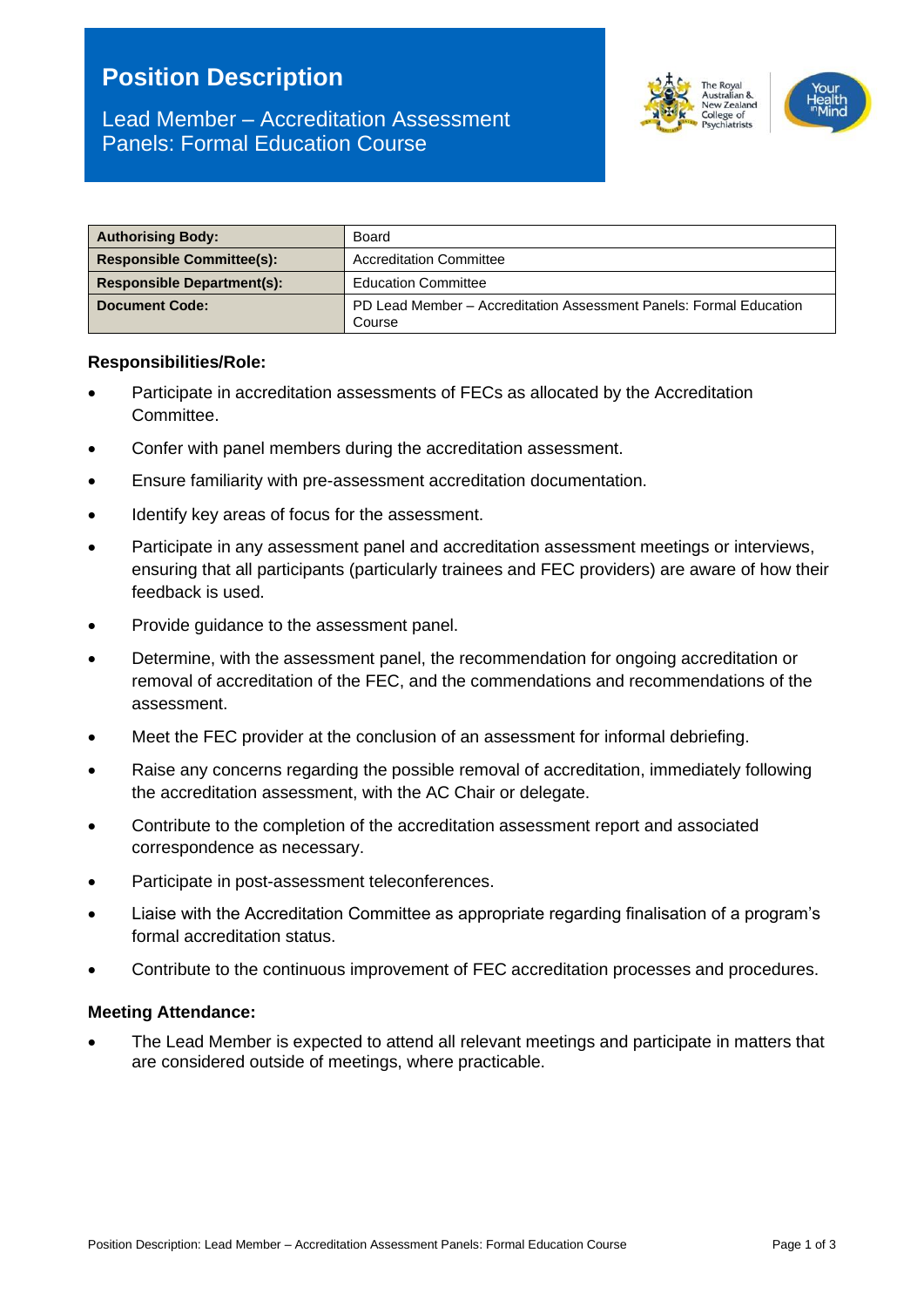# **Position Description**

# Lead Member – Accreditation Assessment Panels: Formal Education Course



| <b>Authorising Body:</b>          | Board                                                                        |  |
|-----------------------------------|------------------------------------------------------------------------------|--|
| <b>Responsible Committee(s):</b>  | <b>Accreditation Committee</b>                                               |  |
| <b>Responsible Department(s):</b> | <b>Education Committee</b>                                                   |  |
| <b>Document Code:</b>             | PD Lead Member – Accreditation Assessment Panels: Formal Education<br>Course |  |

#### **Responsibilities/Role:**

- Participate in accreditation assessments of FECs as allocated by the Accreditation Committee.
- Confer with panel members during the accreditation assessment.
- Ensure familiarity with pre-assessment accreditation documentation.
- Identify key areas of focus for the assessment.
- Participate in any assessment panel and accreditation assessment meetings or interviews, ensuring that all participants (particularly trainees and FEC providers) are aware of how their feedback is used.
- Provide guidance to the assessment panel.
- Determine, with the assessment panel, the recommendation for ongoing accreditation or removal of accreditation of the FEC, and the commendations and recommendations of the assessment.
- Meet the FEC provider at the conclusion of an assessment for informal debriefing.
- Raise any concerns regarding the possible removal of accreditation, immediately following the accreditation assessment, with the AC Chair or delegate.
- Contribute to the completion of the accreditation assessment report and associated correspondence as necessary.
- Participate in post-assessment teleconferences.
- Liaise with the Accreditation Committee as appropriate regarding finalisation of a program's formal accreditation status.
- Contribute to the continuous improvement of FEC accreditation processes and procedures.

#### **Meeting Attendance:**

• The Lead Member is expected to attend all relevant meetings and participate in matters that are considered outside of meetings, where practicable.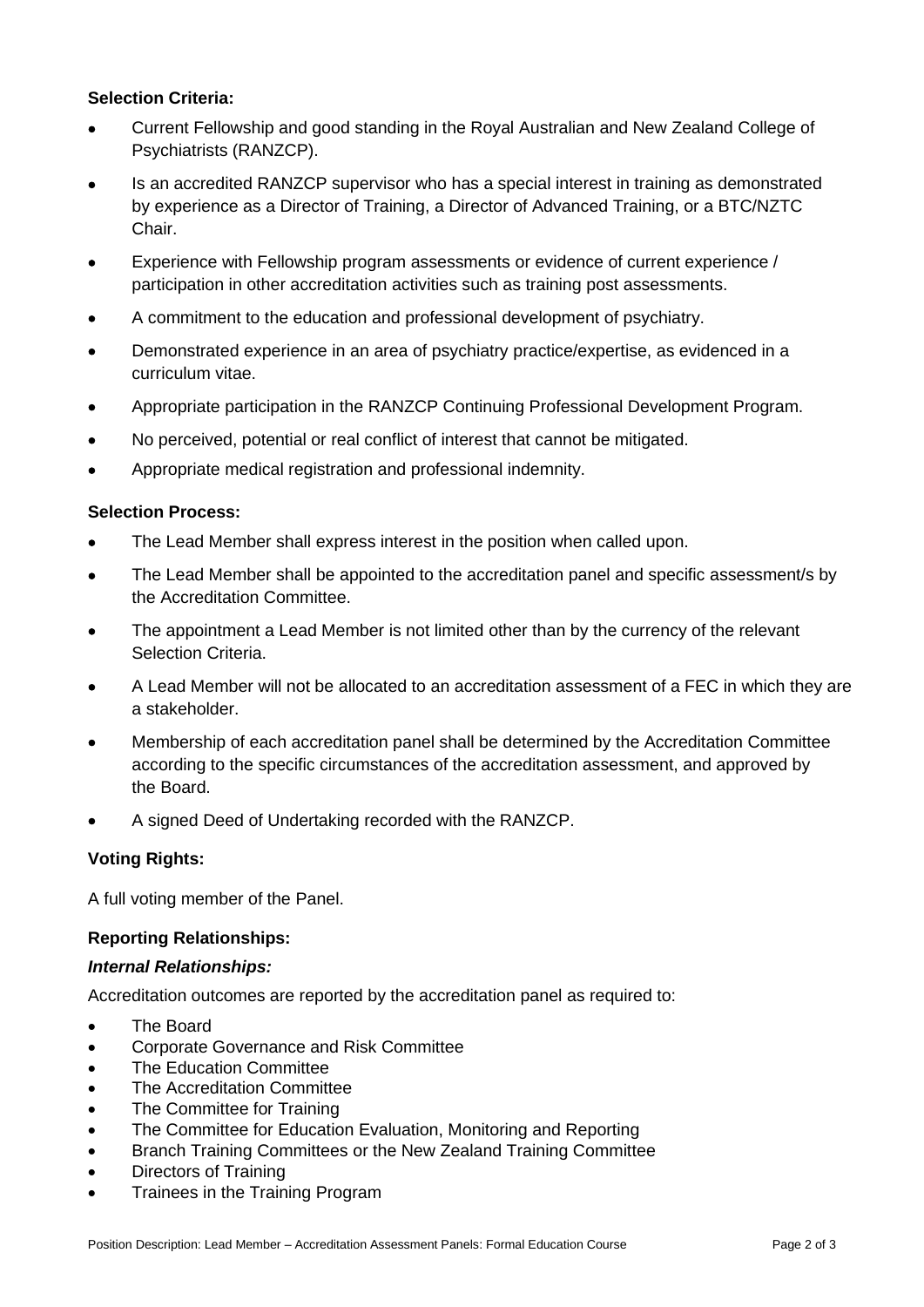# **Selection Criteria:**

- Current Fellowship and good standing in the Royal Australian and New Zealand College of Psychiatrists (RANZCP).
- Is an accredited RANZCP supervisor who has a special interest in training as demonstrated by experience as a Director of Training, a Director of Advanced Training, or a BTC/NZTC Chair.
- Experience with Fellowship program assessments or evidence of current experience / participation in other accreditation activities such as training post assessments.
- A commitment to the education and professional development of psychiatry.
- Demonstrated experience in an area of psychiatry practice/expertise, as evidenced in a curriculum vitae.
- Appropriate participation in the RANZCP Continuing Professional Development Program.
- No perceived, potential or real conflict of interest that cannot be mitigated.
- Appropriate medical registration and professional indemnity.

# **Selection Process:**

- The Lead Member shall express interest in the position when called upon.
- The Lead Member shall be appointed to the accreditation panel and specific assessment/s by the Accreditation Committee.
- The appointment a Lead Member is not limited other than by the currency of the relevant Selection Criteria.
- A Lead Member will not be allocated to an accreditation assessment of a FEC in which they are a stakeholder.
- Membership of each accreditation panel shall be determined by the Accreditation Committee according to the specific circumstances of the accreditation assessment, and approved by the Board.
- A signed Deed of Undertaking recorded with the RANZCP.

# **Voting Rights:**

A full voting member of the Panel.

# **Reporting Relationships:**

# *Internal Relationships:*

Accreditation outcomes are reported by the accreditation panel as required to:

- The Board
- Corporate Governance and Risk Committee
- The Education Committee
- The Accreditation Committee
- The Committee for Training
- The Committee for Education Evaluation, Monitoring and Reporting
- Branch Training Committees or the New Zealand Training Committee
- Directors of Training
- Trainees in the Training Program